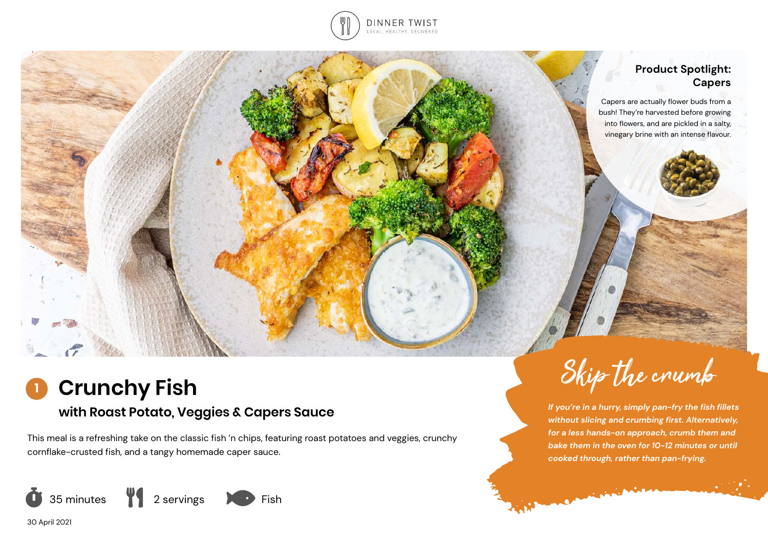

### **Product Spotlight: Capers**

Capers are actually flower buds from a bush! They're harvested before growing into flowers, and are pickled in a salty, vinegary brine with an intense flavour.

# **Crunchy Fish**

## **with Roast Potato, Veggies & Capers Sauce**

This meal is a refreshing take on the classic fish 'n chips, featuring roast potatoes and veggies, crunchy cornflake-crusted fish, and a tangy homemade caper sauce.



*If you're in a hurry, simply pan-fry the fish fillets without slicing and crumbing first. Alternatively, for a less hands-on approach, crumb them and bake them in the oven for 10-12 minutes or until cooked through, rather than pan-frying.* 

Companies of the Company

Skip the crumb

30 April 2021

**1**